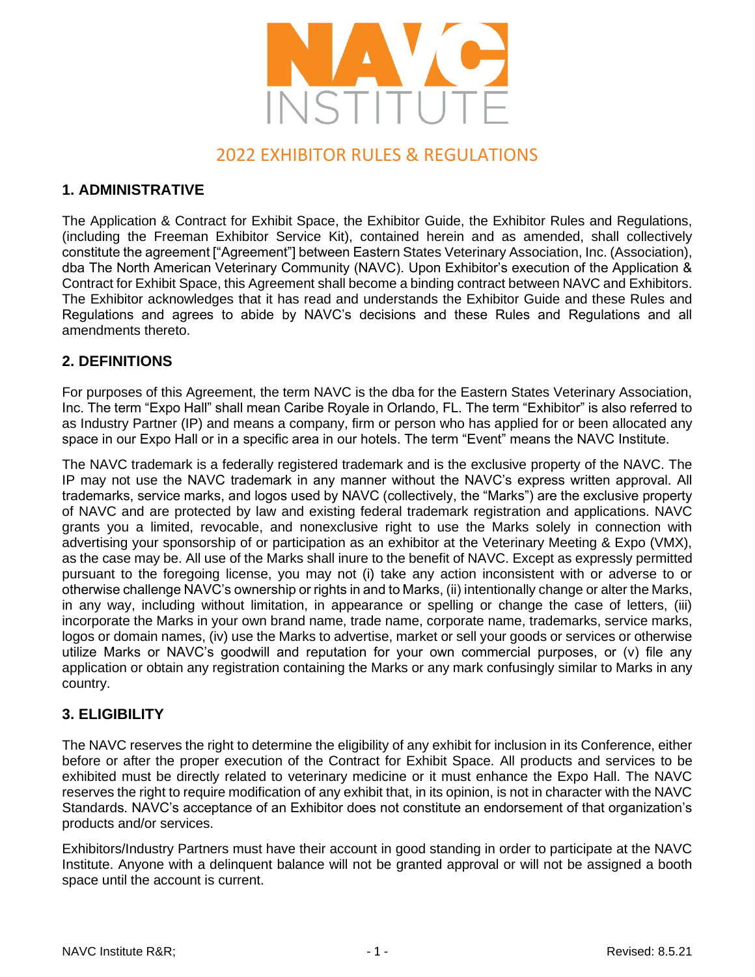

# 2022 EXHIBITOR RULES & REGULATIONS

# **1. ADMINISTRATIVE**

The Application & Contract for Exhibit Space, the Exhibitor Guide, the Exhibitor Rules and Regulations, (including the Freeman Exhibitor Service Kit), contained herein and as amended, shall collectively constitute the agreement ["Agreement"] between Eastern States Veterinary Association, Inc. (Association), dba The North American Veterinary Community (NAVC). Upon Exhibitor's execution of the Application & Contract for Exhibit Space, this Agreement shall become a binding contract between NAVC and Exhibitors. The Exhibitor acknowledges that it has read and understands the Exhibitor Guide and these Rules and Regulations and agrees to abide by NAVC's decisions and these Rules and Regulations and all amendments thereto.

# **2. DEFINITIONS**

For purposes of this Agreement, the term NAVC is the dba for the Eastern States Veterinary Association, Inc. The term "Expo Hall" shall mean Caribe Royale in Orlando, FL. The term "Exhibitor" is also referred to as Industry Partner (IP) and means a company, firm or person who has applied for or been allocated any space in our Expo Hall or in a specific area in our hotels. The term "Event" means the NAVC Institute.

The NAVC trademark is a federally registered trademark and is the exclusive property of the NAVC. The IP may not use the NAVC trademark in any manner without the NAVC's express written approval. All trademarks, service marks, and logos used by NAVC (collectively, the "Marks") are the exclusive property of NAVC and are protected by law and existing federal trademark registration and applications. NAVC grants you a limited, revocable, and nonexclusive right to use the Marks solely in connection with advertising your sponsorship of or participation as an exhibitor at the Veterinary Meeting & Expo (VMX), as the case may be. All use of the Marks shall inure to the benefit of NAVC. Except as expressly permitted pursuant to the foregoing license, you may not (i) take any action inconsistent with or adverse to or otherwise challenge NAVC's ownership or rights in and to Marks, (ii) intentionally change or alter the Marks, in any way, including without limitation, in appearance or spelling or change the case of letters, (iii) incorporate the Marks in your own brand name, trade name, corporate name, trademarks, service marks, logos or domain names, (iv) use the Marks to advertise, market or sell your goods or services or otherwise utilize Marks or NAVC's goodwill and reputation for your own commercial purposes, or (v) file any application or obtain any registration containing the Marks or any mark confusingly similar to Marks in any country.

# **3. ELIGIBILITY**

The NAVC reserves the right to determine the eligibility of any exhibit for inclusion in its Conference, either before or after the proper execution of the Contract for Exhibit Space. All products and services to be exhibited must be directly related to veterinary medicine or it must enhance the Expo Hall. The NAVC reserves the right to require modification of any exhibit that, in its opinion, is not in character with the NAVC Standards. NAVC's acceptance of an Exhibitor does not constitute an endorsement of that organization's products and/or services.

Exhibitors/Industry Partners must have their account in good standing in order to participate at the NAVC Institute. Anyone with a delinquent balance will not be granted approval or will not be assigned a booth space until the account is current.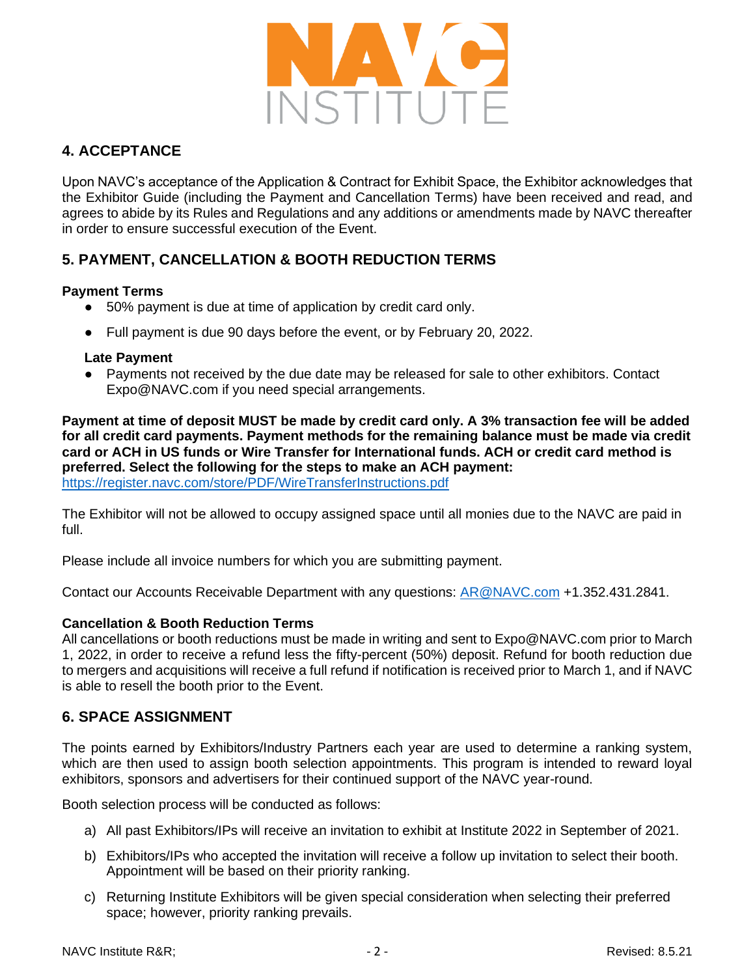

# **4. ACCEPTANCE**

Upon NAVC's acceptance of the Application & Contract for Exhibit Space, the Exhibitor acknowledges that the Exhibitor Guide (including the Payment and Cancellation Terms) have been received and read, and agrees to abide by its Rules and Regulations and any additions or amendments made by NAVC thereafter in order to ensure successful execution of the Event.

# **5. PAYMENT, CANCELLATION & BOOTH REDUCTION TERMS**

### **Payment Terms**

- 50% payment is due at time of application by credit card only.
- Full payment is due 90 days before the event, or by February 20, 2022.

#### **Late Payment**

Payments not received by the due date may be released for sale to other exhibitors. Contact Expo@NAVC.com if you need special arrangements.

**Payment at time of deposit MUST be made by credit card only. A 3% transaction fee will be added for all credit card payments. Payment methods for the remaining balance must be made via credit card or ACH in US funds or Wire Transfer for International funds. ACH or credit card method is preferred. Select the following for the steps to make an ACH payment:**  <https://register.navc.com/store/PDF/WireTransferInstructions.pdf>

The Exhibitor will not be allowed to occupy assigned space until all monies due to the NAVC are paid in full.

Please include all invoice numbers for which you are submitting payment.

Contact our Accounts Receivable Department with any questions: [AR@NAVC.com](mailto:AR@NAVC.com) +1.352.431.2841.

### **Cancellation & Booth Reduction Terms**

All cancellations or booth reductions must be made in writing and sent to Expo@NAVC.com prior to March 1, 2022, in order to receive a refund less the fifty-percent (50%) deposit. Refund for booth reduction due to mergers and acquisitions will receive a full refund if notification is received prior to March 1, and if NAVC is able to resell the booth prior to the Event.

# **6. SPACE ASSIGNMENT**

The points earned by Exhibitors/Industry Partners each year are used to determine a ranking system, which are then used to assign booth selection appointments. This program is intended to reward loyal exhibitors, sponsors and advertisers for their continued support of the NAVC year-round.

Booth selection process will be conducted as follows:

- a) All past Exhibitors/IPs will receive an invitation to exhibit at Institute 2022 in September of 2021.
- b) Exhibitors/IPs who accepted the invitation will receive a follow up invitation to select their booth. Appointment will be based on their priority ranking.
- c) Returning Institute Exhibitors will be given special consideration when selecting their preferred space; however, priority ranking prevails.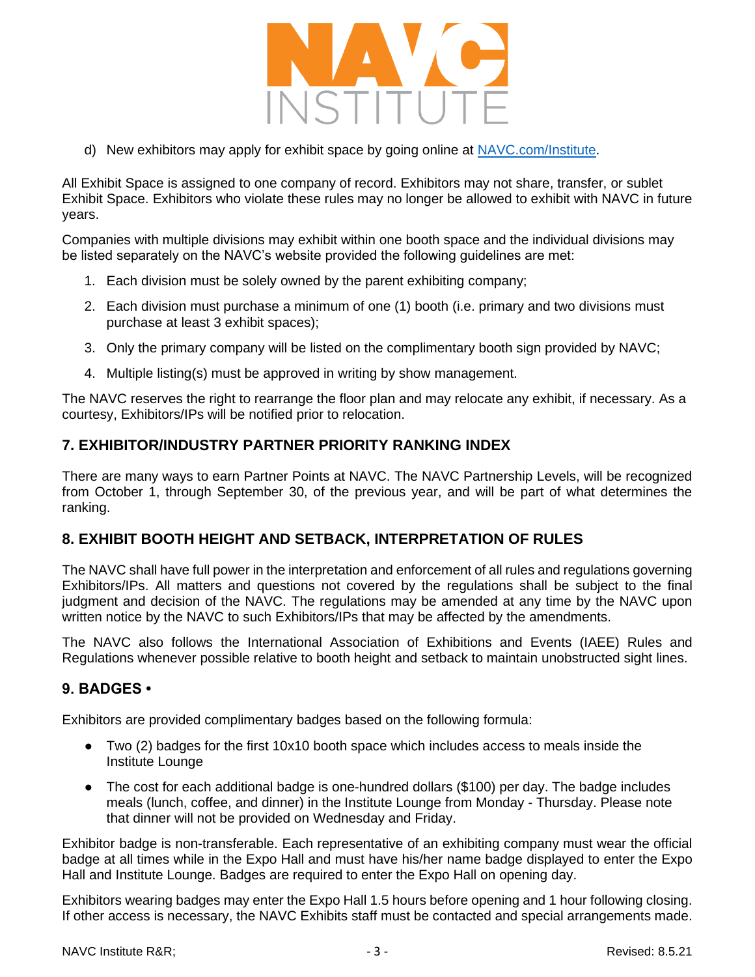

d) New exhibitors may apply for exhibit space by going online at [NAVC.com/Institute.](http://navc.com/Institute)

All Exhibit Space is assigned to one company of record. Exhibitors may not share, transfer, or sublet Exhibit Space. Exhibitors who violate these rules may no longer be allowed to exhibit with NAVC in future years.

Companies with multiple divisions may exhibit within one booth space and the individual divisions may be listed separately on the NAVC's website provided the following guidelines are met:

- 1. Each division must be solely owned by the parent exhibiting company;
- 2. Each division must purchase a minimum of one (1) booth (i.e. primary and two divisions must purchase at least 3 exhibit spaces);
- 3. Only the primary company will be listed on the complimentary booth sign provided by NAVC;
- 4. Multiple listing(s) must be approved in writing by show management.

The NAVC reserves the right to rearrange the floor plan and may relocate any exhibit, if necessary. As a courtesy, Exhibitors/IPs will be notified prior to relocation.

## **7. EXHIBITOR/INDUSTRY PARTNER PRIORITY RANKING INDEX**

There are many ways to earn Partner Points at NAVC. The NAVC Partnership Levels, will be recognized from October 1, through September 30, of the previous year, and will be part of what determines the ranking.

# **8. EXHIBIT BOOTH HEIGHT AND SETBACK, INTERPRETATION OF RULES**

The NAVC shall have full power in the interpretation and enforcement of all rules and regulations governing Exhibitors/IPs. All matters and questions not covered by the regulations shall be subject to the final judgment and decision of the NAVC. The regulations may be amended at any time by the NAVC upon written notice by the NAVC to such Exhibitors/IPs that may be affected by the amendments.

The NAVC also follows the International Association of Exhibitions and Events (IAEE) Rules and Regulations whenever possible relative to booth height and setback to maintain unobstructed sight lines.

### **9. BADGES •**

Exhibitors are provided complimentary badges based on the following formula:

- Two (2) badges for the first 10x10 booth space which includes access to meals inside the Institute Lounge
- The cost for each additional badge is one-hundred dollars (\$100) per day. The badge includes meals (lunch, coffee, and dinner) in the Institute Lounge from Monday - Thursday. Please note that dinner will not be provided on Wednesday and Friday.

Exhibitor badge is non-transferable. Each representative of an exhibiting company must wear the official badge at all times while in the Expo Hall and must have his/her name badge displayed to enter the Expo Hall and Institute Lounge. Badges are required to enter the Expo Hall on opening day.

Exhibitors wearing badges may enter the Expo Hall 1.5 hours before opening and 1 hour following closing. If other access is necessary, the NAVC Exhibits staff must be contacted and special arrangements made.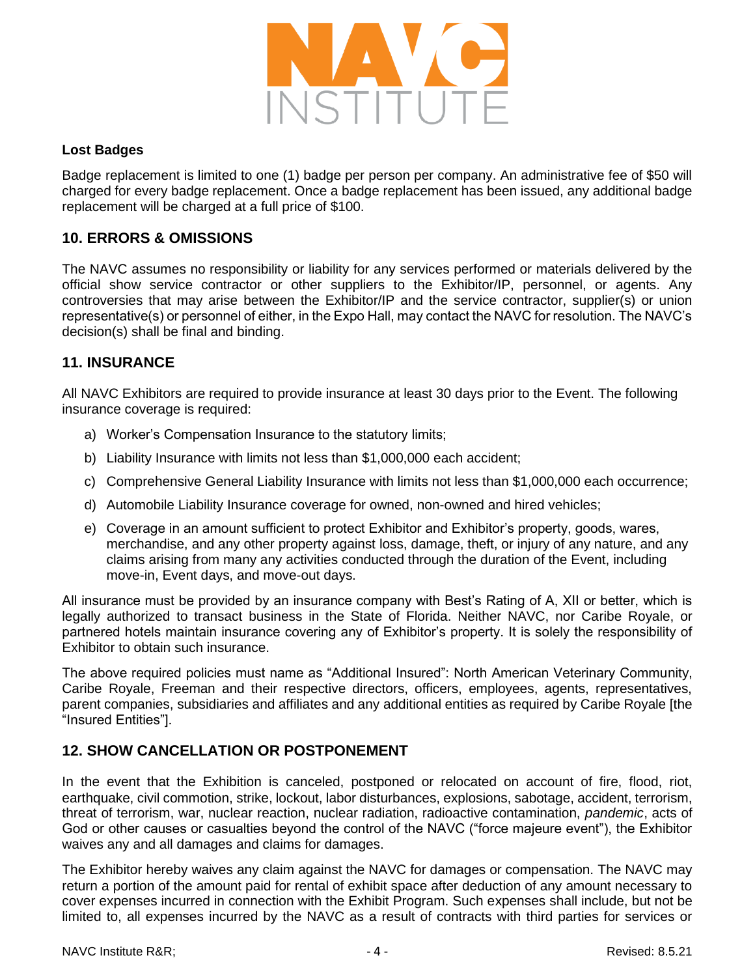

#### **Lost Badges**

Badge replacement is limited to one (1) badge per person per company. An administrative fee of \$50 will charged for every badge replacement. Once a badge replacement has been issued, any additional badge replacement will be charged at a full price of \$100.

# **10. ERRORS & OMISSIONS**

The NAVC assumes no responsibility or liability for any services performed or materials delivered by the official show service contractor or other suppliers to the Exhibitor/IP, personnel, or agents. Any controversies that may arise between the Exhibitor/IP and the service contractor, supplier(s) or union representative(s) or personnel of either, in the Expo Hall, may contact the NAVC for resolution. The NAVC's decision(s) shall be final and binding.

## **11. INSURANCE**

All NAVC Exhibitors are required to provide insurance at least 30 days prior to the Event. The following insurance coverage is required:

- a) Worker's Compensation Insurance to the statutory limits;
- b) Liability Insurance with limits not less than \$1,000,000 each accident;
- c) Comprehensive General Liability Insurance with limits not less than \$1,000,000 each occurrence;
- d) Automobile Liability Insurance coverage for owned, non-owned and hired vehicles;
- e) Coverage in an amount sufficient to protect Exhibitor and Exhibitor's property, goods, wares, merchandise, and any other property against loss, damage, theft, or injury of any nature, and any claims arising from many any activities conducted through the duration of the Event, including move-in, Event days, and move-out days.

All insurance must be provided by an insurance company with Best's Rating of A, XII or better, which is legally authorized to transact business in the State of Florida. Neither NAVC, nor Caribe Royale, or partnered hotels maintain insurance covering any of Exhibitor's property. It is solely the responsibility of Exhibitor to obtain such insurance.

The above required policies must name as "Additional Insured": North American Veterinary Community, Caribe Royale, Freeman and their respective directors, officers, employees, agents, representatives, parent companies, subsidiaries and affiliates and any additional entities as required by Caribe Royale [the "Insured Entities"].

# **12. SHOW CANCELLATION OR POSTPONEMENT**

In the event that the Exhibition is canceled, postponed or relocated on account of fire, flood, riot, earthquake, civil commotion, strike, lockout, labor disturbances, explosions, sabotage, accident, terrorism, threat of terrorism, war, nuclear reaction, nuclear radiation, radioactive contamination, *pandemic*, acts of God or other causes or casualties beyond the control of the NAVC ("force majeure event"), the Exhibitor waives any and all damages and claims for damages.

The Exhibitor hereby waives any claim against the NAVC for damages or compensation. The NAVC may return a portion of the amount paid for rental of exhibit space after deduction of any amount necessary to cover expenses incurred in connection with the Exhibit Program. Such expenses shall include, but not be limited to, all expenses incurred by the NAVC as a result of contracts with third parties for services or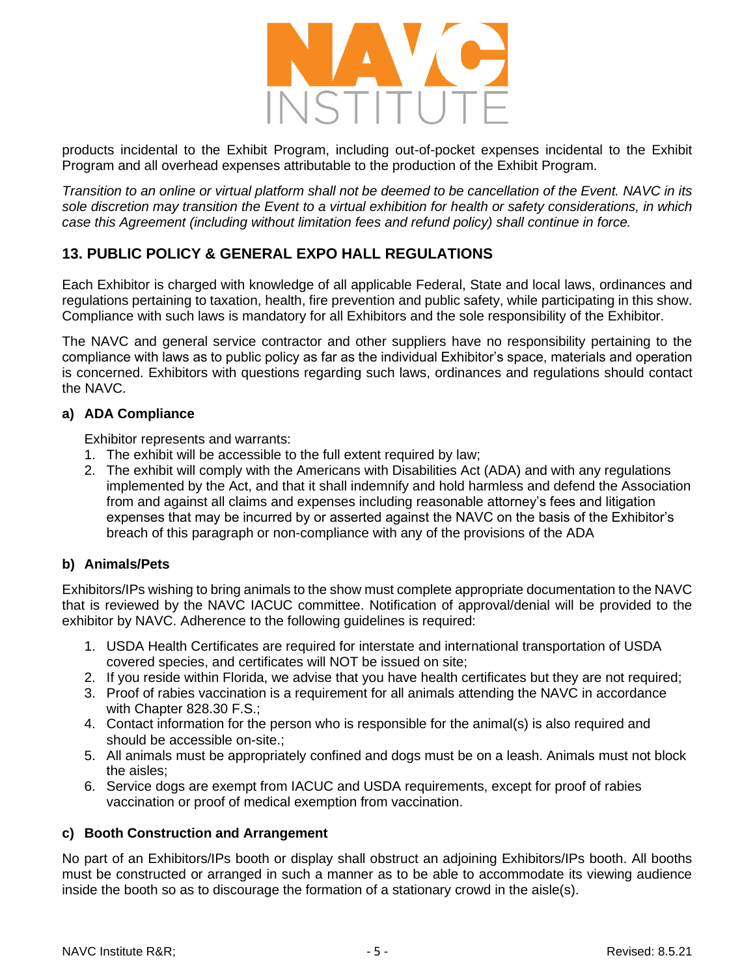

products incidental to the Exhibit Program, including out-of-pocket expenses incidental to the Exhibit Program and all overhead expenses attributable to the production of the Exhibit Program.

*Transition to an online or virtual platform shall not be deemed to be cancellation of the Event. NAVC in its sole discretion may transition the Event to a virtual exhibition for health or safety considerations, in which case this Agreement (including without limitation fees and refund policy) shall continue in force.*

# **13. PUBLIC POLICY & GENERAL EXPO HALL REGULATIONS**

Each Exhibitor is charged with knowledge of all applicable Federal, State and local laws, ordinances and regulations pertaining to taxation, health, fire prevention and public safety, while participating in this show. Compliance with such laws is mandatory for all Exhibitors and the sole responsibility of the Exhibitor.

The NAVC and general service contractor and other suppliers have no responsibility pertaining to the compliance with laws as to public policy as far as the individual Exhibitor's space, materials and operation is concerned. Exhibitors with questions regarding such laws, ordinances and regulations should contact the NAVC.

#### **a) ADA Compliance**

Exhibitor represents and warrants:

- 1. The exhibit will be accessible to the full extent required by law;
- 2. The exhibit will comply with the Americans with Disabilities Act (ADA) and with any regulations implemented by the Act, and that it shall indemnify and hold harmless and defend the Association from and against all claims and expenses including reasonable attorney's fees and litigation expenses that may be incurred by or asserted against the NAVC on the basis of the Exhibitor's breach of this paragraph or non-compliance with any of the provisions of the ADA

### **b) Animals/Pets**

Exhibitors/IPs wishing to bring animals to the show must complete appropriate documentation to the NAVC that is reviewed by the NAVC IACUC committee. Notification of approval/denial will be provided to the exhibitor by NAVC. Adherence to the following guidelines is required:

- 1. USDA Health Certificates are required for interstate and international transportation of USDA covered species, and certificates will NOT be issued on site;
- 2. If you reside within Florida, we advise that you have health certificates but they are not required;
- 3. Proof of rabies vaccination is a requirement for all animals attending the NAVC in accordance with Chapter 828.30 F.S.;
- 4. Contact information for the person who is responsible for the animal(s) is also required and should be accessible on-site.;
- 5. All animals must be appropriately confined and dogs must be on a leash. Animals must not block the aisles;
- 6. Service dogs are exempt from IACUC and USDA requirements, except for proof of rabies vaccination or proof of medical exemption from vaccination.

### **c) Booth Construction and Arrangement**

No part of an Exhibitors/IPs booth or display shall obstruct an adjoining Exhibitors/IPs booth. All booths must be constructed or arranged in such a manner as to be able to accommodate its viewing audience inside the booth so as to discourage the formation of a stationary crowd in the aisle(s).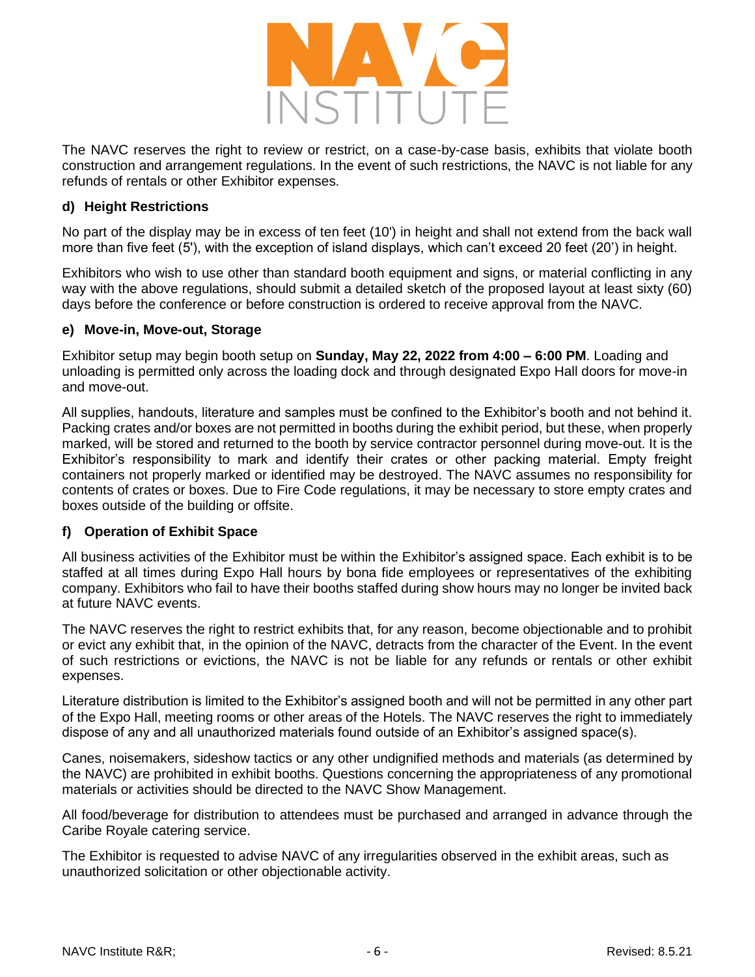

The NAVC reserves the right to review or restrict, on a case-by-case basis, exhibits that violate booth construction and arrangement regulations. In the event of such restrictions, the NAVC is not liable for any refunds of rentals or other Exhibitor expenses.

#### **d) Height Restrictions**

No part of the display may be in excess of ten feet (10') in height and shall not extend from the back wall more than five feet (5'), with the exception of island displays, which can't exceed 20 feet (20') in height.

Exhibitors who wish to use other than standard booth equipment and signs, or material conflicting in any way with the above regulations, should submit a detailed sketch of the proposed layout at least sixty (60) days before the conference or before construction is ordered to receive approval from the NAVC.

#### **e) Move-in, Move-out, Storage**

Exhibitor setup may begin booth setup on **Sunday, May 22, 2022 from 4:00 – 6:00 PM**. Loading and unloading is permitted only across the loading dock and through designated Expo Hall doors for move-in and move-out.

All supplies, handouts, literature and samples must be confined to the Exhibitor's booth and not behind it. Packing crates and/or boxes are not permitted in booths during the exhibit period, but these, when properly marked, will be stored and returned to the booth by service contractor personnel during move-out. It is the Exhibitor's responsibility to mark and identify their crates or other packing material. Empty freight containers not properly marked or identified may be destroyed. The NAVC assumes no responsibility for contents of crates or boxes. Due to Fire Code regulations, it may be necessary to store empty crates and boxes outside of the building or offsite.

### **f) Operation of Exhibit Space**

All business activities of the Exhibitor must be within the Exhibitor's assigned space. Each exhibit is to be staffed at all times during Expo Hall hours by bona fide employees or representatives of the exhibiting company. Exhibitors who fail to have their booths staffed during show hours may no longer be invited back at future NAVC events.

The NAVC reserves the right to restrict exhibits that, for any reason, become objectionable and to prohibit or evict any exhibit that, in the opinion of the NAVC, detracts from the character of the Event. In the event of such restrictions or evictions, the NAVC is not be liable for any refunds or rentals or other exhibit expenses.

Literature distribution is limited to the Exhibitor's assigned booth and will not be permitted in any other part of the Expo Hall, meeting rooms or other areas of the Hotels. The NAVC reserves the right to immediately dispose of any and all unauthorized materials found outside of an Exhibitor's assigned space(s).

Canes, noisemakers, sideshow tactics or any other undignified methods and materials (as determined by the NAVC) are prohibited in exhibit booths. Questions concerning the appropriateness of any promotional materials or activities should be directed to the NAVC Show Management.

All food/beverage for distribution to attendees must be purchased and arranged in advance through the Caribe Royale catering service.

The Exhibitor is requested to advise NAVC of any irregularities observed in the exhibit areas, such as unauthorized solicitation or other objectionable activity.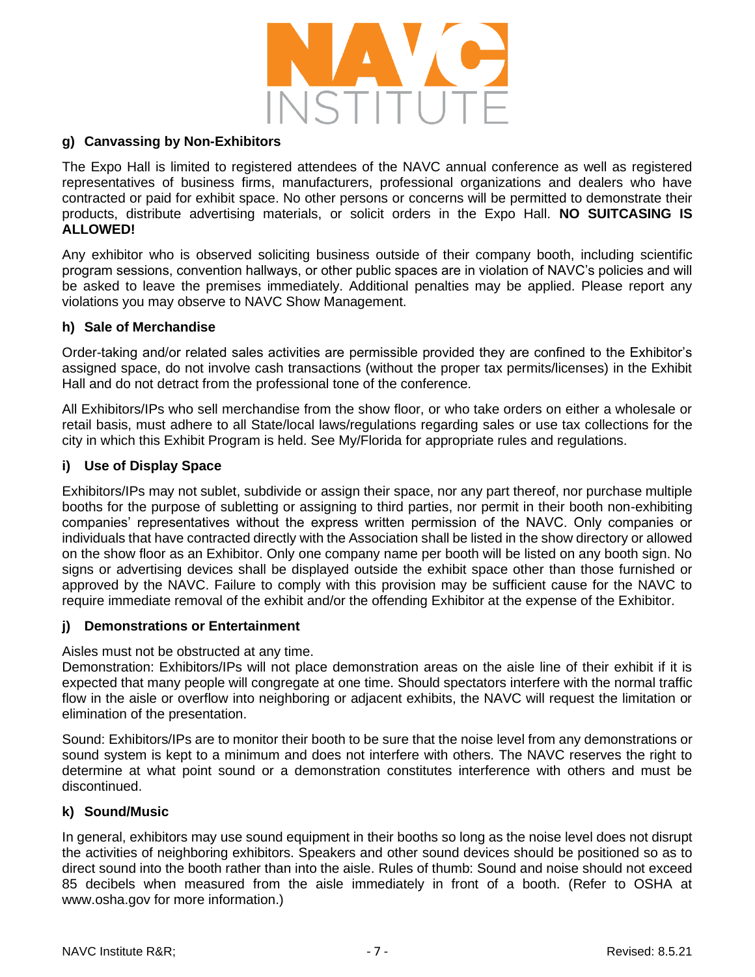

#### **g) Canvassing by Non-Exhibitors**

The Expo Hall is limited to registered attendees of the NAVC annual conference as well as registered representatives of business firms, manufacturers, professional organizations and dealers who have contracted or paid for exhibit space. No other persons or concerns will be permitted to demonstrate their products, distribute advertising materials, or solicit orders in the Expo Hall. **NO SUITCASING IS ALLOWED!** 

Any exhibitor who is observed soliciting business outside of their company booth, including scientific program sessions, convention hallways, or other public spaces are in violation of NAVC's policies and will be asked to leave the premises immediately. Additional penalties may be applied. Please report any violations you may observe to NAVC Show Management.

#### **h) Sale of Merchandise**

Order-taking and/or related sales activities are permissible provided they are confined to the Exhibitor's assigned space, do not involve cash transactions (without the proper tax permits/licenses) in the Exhibit Hall and do not detract from the professional tone of the conference.

All Exhibitors/IPs who sell merchandise from the show floor, or who take orders on either a wholesale or retail basis, must adhere to all State/local laws/regulations regarding sales or use tax collections for the city in which this Exhibit Program is held. See My/Florida for appropriate rules and regulations.

#### **i) Use of Display Space**

Exhibitors/IPs may not sublet, subdivide or assign their space, nor any part thereof, nor purchase multiple booths for the purpose of subletting or assigning to third parties, nor permit in their booth non-exhibiting companies' representatives without the express written permission of the NAVC. Only companies or individuals that have contracted directly with the Association shall be listed in the show directory or allowed on the show floor as an Exhibitor. Only one company name per booth will be listed on any booth sign. No signs or advertising devices shall be displayed outside the exhibit space other than those furnished or approved by the NAVC. Failure to comply with this provision may be sufficient cause for the NAVC to require immediate removal of the exhibit and/or the offending Exhibitor at the expense of the Exhibitor.

### **j) Demonstrations or Entertainment**

Aisles must not be obstructed at any time.

Demonstration: Exhibitors/IPs will not place demonstration areas on the aisle line of their exhibit if it is expected that many people will congregate at one time. Should spectators interfere with the normal traffic flow in the aisle or overflow into neighboring or adjacent exhibits, the NAVC will request the limitation or elimination of the presentation.

Sound: Exhibitors/IPs are to monitor their booth to be sure that the noise level from any demonstrations or sound system is kept to a minimum and does not interfere with others. The NAVC reserves the right to determine at what point sound or a demonstration constitutes interference with others and must be discontinued.

### **k) Sound/Music**

In general, exhibitors may use sound equipment in their booths so long as the noise level does not disrupt the activities of neighboring exhibitors. Speakers and other sound devices should be positioned so as to direct sound into the booth rather than into the aisle. Rules of thumb: Sound and noise should not exceed 85 decibels when measured from the aisle immediately in front of a booth. (Refer to OSHA at www.osha.gov for more information.)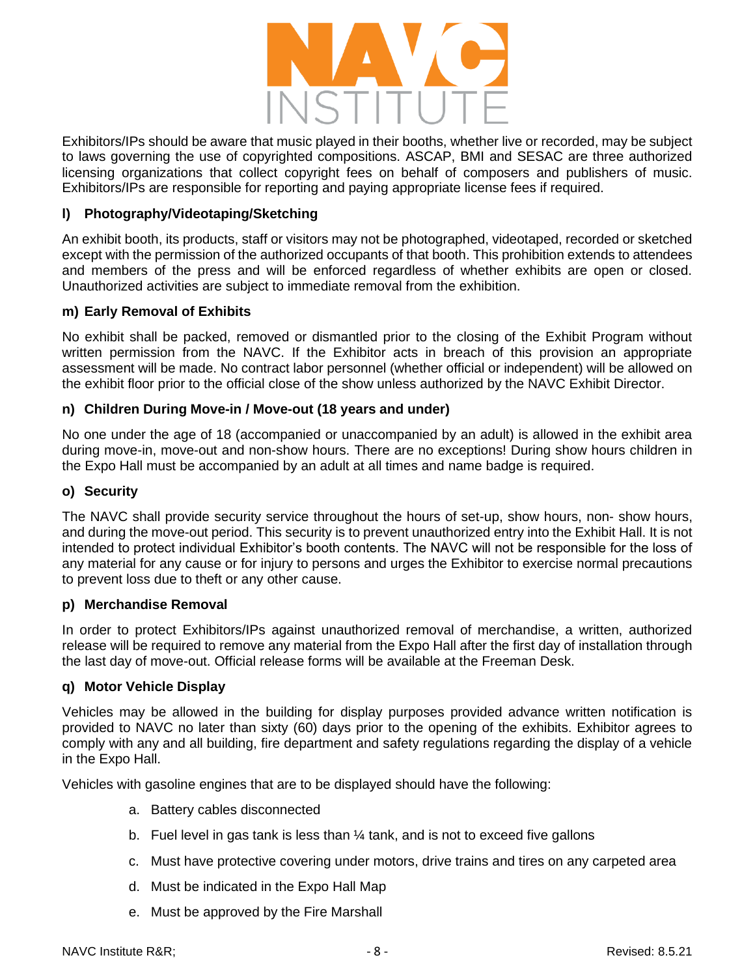

Exhibitors/IPs should be aware that music played in their booths, whether live or recorded, may be subject to laws governing the use of copyrighted compositions. ASCAP, BMI and SESAC are three authorized licensing organizations that collect copyright fees on behalf of composers and publishers of music. Exhibitors/IPs are responsible for reporting and paying appropriate license fees if required.

#### **l) Photography/Videotaping/Sketching**

An exhibit booth, its products, staff or visitors may not be photographed, videotaped, recorded or sketched except with the permission of the authorized occupants of that booth. This prohibition extends to attendees and members of the press and will be enforced regardless of whether exhibits are open or closed. Unauthorized activities are subject to immediate removal from the exhibition.

#### **m) Early Removal of Exhibits**

No exhibit shall be packed, removed or dismantled prior to the closing of the Exhibit Program without written permission from the NAVC. If the Exhibitor acts in breach of this provision an appropriate assessment will be made. No contract labor personnel (whether official or independent) will be allowed on the exhibit floor prior to the official close of the show unless authorized by the NAVC Exhibit Director.

#### **n) Children During Move-in / Move-out (18 years and under)**

No one under the age of 18 (accompanied or unaccompanied by an adult) is allowed in the exhibit area during move-in, move-out and non-show hours. There are no exceptions! During show hours children in the Expo Hall must be accompanied by an adult at all times and name badge is required.

#### **o) Security**

The NAVC shall provide security service throughout the hours of set-up, show hours, non- show hours, and during the move-out period. This security is to prevent unauthorized entry into the Exhibit Hall. It is not intended to protect individual Exhibitor's booth contents. The NAVC will not be responsible for the loss of any material for any cause or for injury to persons and urges the Exhibitor to exercise normal precautions to prevent loss due to theft or any other cause.

#### **p) Merchandise Removal**

In order to protect Exhibitors/IPs against unauthorized removal of merchandise, a written, authorized release will be required to remove any material from the Expo Hall after the first day of installation through the last day of move-out. Official release forms will be available at the Freeman Desk.

#### **q) Motor Vehicle Display**

Vehicles may be allowed in the building for display purposes provided advance written notification is provided to NAVC no later than sixty (60) days prior to the opening of the exhibits. Exhibitor agrees to comply with any and all building, fire department and safety regulations regarding the display of a vehicle in the Expo Hall.

Vehicles with gasoline engines that are to be displayed should have the following:

- a. Battery cables disconnected
- b. Fuel level in gas tank is less than  $\frac{1}{4}$  tank, and is not to exceed five gallons
- c. Must have protective covering under motors, drive trains and tires on any carpeted area
- d. Must be indicated in the Expo Hall Map
- e. Must be approved by the Fire Marshall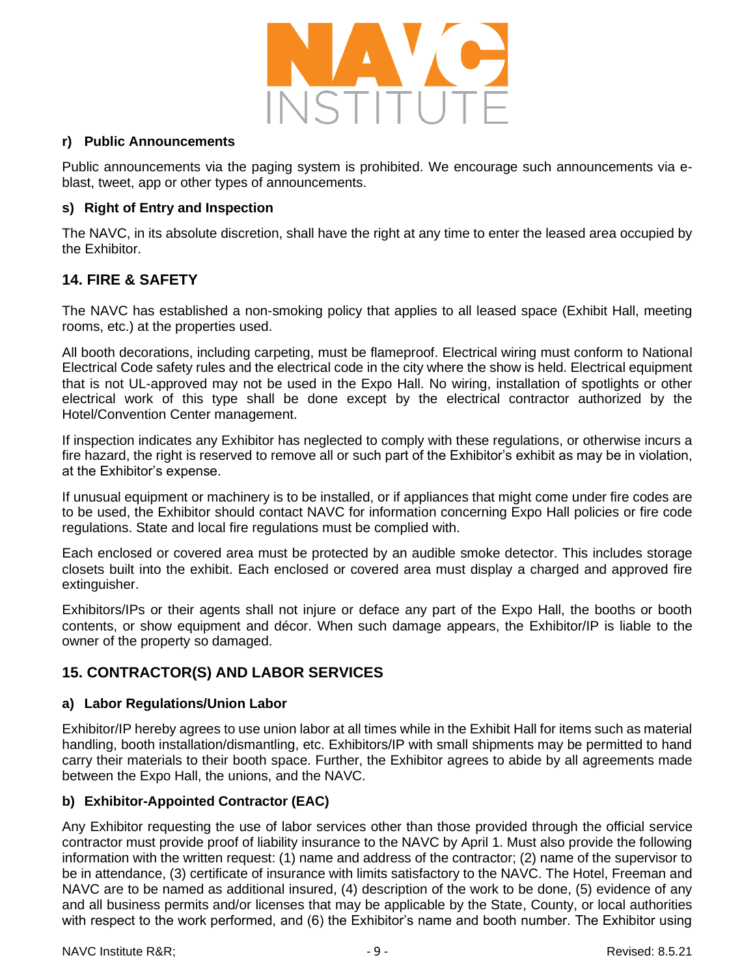

#### **r) Public Announcements**

Public announcements via the paging system is prohibited. We encourage such announcements via eblast, tweet, app or other types of announcements.

### **s) Right of Entry and Inspection**

The NAVC, in its absolute discretion, shall have the right at any time to enter the leased area occupied by the Exhibitor.

# **14. FIRE & SAFETY**

The NAVC has established a non-smoking policy that applies to all leased space (Exhibit Hall, meeting rooms, etc.) at the properties used.

All booth decorations, including carpeting, must be flameproof. Electrical wiring must conform to National Electrical Code safety rules and the electrical code in the city where the show is held. Electrical equipment that is not UL-approved may not be used in the Expo Hall. No wiring, installation of spotlights or other electrical work of this type shall be done except by the electrical contractor authorized by the Hotel/Convention Center management.

If inspection indicates any Exhibitor has neglected to comply with these regulations, or otherwise incurs a fire hazard, the right is reserved to remove all or such part of the Exhibitor's exhibit as may be in violation, at the Exhibitor's expense.

If unusual equipment or machinery is to be installed, or if appliances that might come under fire codes are to be used, the Exhibitor should contact NAVC for information concerning Expo Hall policies or fire code regulations. State and local fire regulations must be complied with.

Each enclosed or covered area must be protected by an audible smoke detector. This includes storage closets built into the exhibit. Each enclosed or covered area must display a charged and approved fire extinguisher.

Exhibitors/IPs or their agents shall not injure or deface any part of the Expo Hall, the booths or booth contents, or show equipment and décor. When such damage appears, the Exhibitor/IP is liable to the owner of the property so damaged.

# **15. CONTRACTOR(S) AND LABOR SERVICES**

### **a) Labor Regulations/Union Labor**

Exhibitor/IP hereby agrees to use union labor at all times while in the Exhibit Hall for items such as material handling, booth installation/dismantling, etc. Exhibitors/IP with small shipments may be permitted to hand carry their materials to their booth space. Further, the Exhibitor agrees to abide by all agreements made between the Expo Hall, the unions, and the NAVC.

### **b) Exhibitor-Appointed Contractor (EAC)**

Any Exhibitor requesting the use of labor services other than those provided through the official service contractor must provide proof of liability insurance to the NAVC by April 1. Must also provide the following information with the written request: (1) name and address of the contractor; (2) name of the supervisor to be in attendance, (3) certificate of insurance with limits satisfactory to the NAVC. The Hotel, Freeman and NAVC are to be named as additional insured, (4) description of the work to be done, (5) evidence of any and all business permits and/or licenses that may be applicable by the State, County, or local authorities with respect to the work performed, and (6) the Exhibitor's name and booth number. The Exhibitor using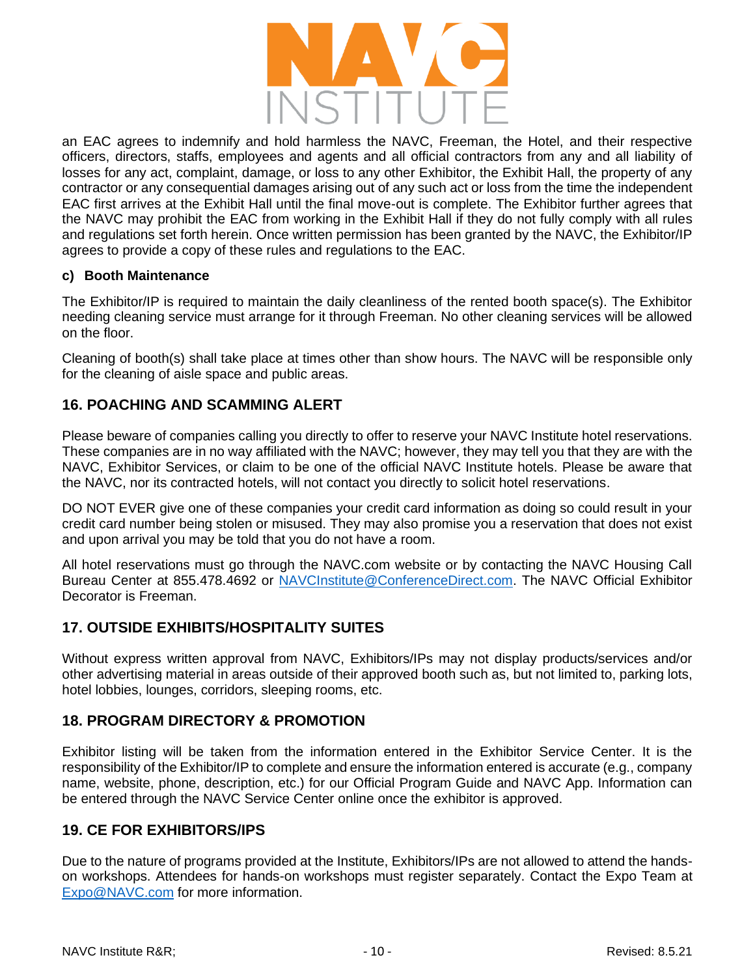

an EAC agrees to indemnify and hold harmless the NAVC, Freeman, the Hotel, and their respective officers, directors, staffs, employees and agents and all official contractors from any and all liability of losses for any act, complaint, damage, or loss to any other Exhibitor, the Exhibit Hall, the property of any contractor or any consequential damages arising out of any such act or loss from the time the independent EAC first arrives at the Exhibit Hall until the final move-out is complete. The Exhibitor further agrees that the NAVC may prohibit the EAC from working in the Exhibit Hall if they do not fully comply with all rules and regulations set forth herein. Once written permission has been granted by the NAVC, the Exhibitor/IP agrees to provide a copy of these rules and regulations to the EAC.

#### **c) Booth Maintenance**

The Exhibitor/IP is required to maintain the daily cleanliness of the rented booth space(s). The Exhibitor needing cleaning service must arrange for it through Freeman. No other cleaning services will be allowed on the floor.

Cleaning of booth(s) shall take place at times other than show hours. The NAVC will be responsible only for the cleaning of aisle space and public areas.

## **16. POACHING AND SCAMMING ALERT**

Please beware of companies calling you directly to offer to reserve your NAVC Institute hotel reservations. These companies are in no way affiliated with the NAVC; however, they may tell you that they are with the NAVC, Exhibitor Services, or claim to be one of the official NAVC Institute hotels. Please be aware that the NAVC, nor its contracted hotels, will not contact you directly to solicit hotel reservations.

DO NOT EVER give one of these companies your credit card information as doing so could result in your credit card number being stolen or misused. They may also promise you a reservation that does not exist and upon arrival you may be told that you do not have a room.

All hotel reservations must go through the NAVC.com website or by contacting the NAVC Housing Call Bureau Center at 855.478.4692 or [NAVCInstitute@ConferenceDirect.com.](mailto:NAVCInstitute@ConferenceDirect.com) The NAVC Official Exhibitor Decorator is Freeman.

# **17. OUTSIDE EXHIBITS/HOSPITALITY SUITES**

Without express written approval from NAVC, Exhibitors/IPs may not display products/services and/or other advertising material in areas outside of their approved booth such as, but not limited to, parking lots, hotel lobbies, lounges, corridors, sleeping rooms, etc.

# **18. PROGRAM DIRECTORY & PROMOTION**

Exhibitor listing will be taken from the information entered in the Exhibitor Service Center. It is the responsibility of the Exhibitor/IP to complete and ensure the information entered is accurate (e.g., company name, website, phone, description, etc.) for our Official Program Guide and NAVC App. Information can be entered through the NAVC Service Center online once the exhibitor is approved.

## **19. CE FOR EXHIBITORS/IPS**

Due to the nature of programs provided at the Institute, Exhibitors/IPs are not allowed to attend the handson workshops. Attendees for hands-on workshops must register separately. Contact the Expo Team at [Expo@NAVC.com](mailto:Expo@NAVC.com) for more information.